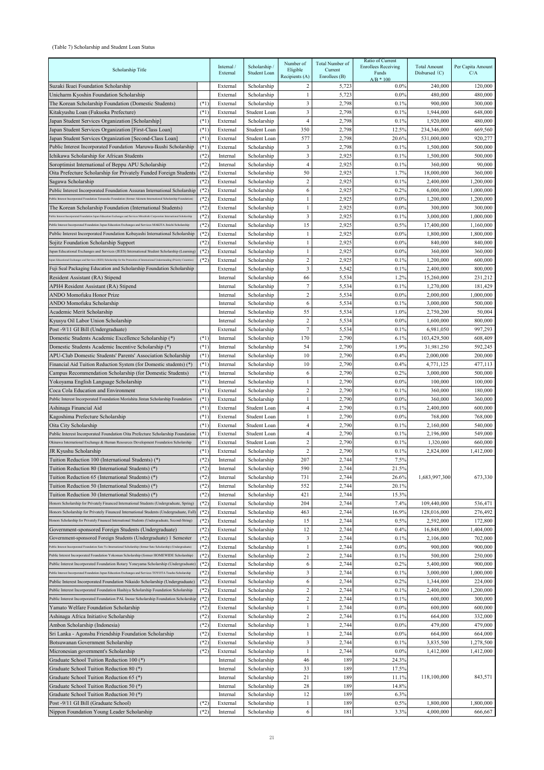## (Table 7) Scholarship and Student Loan Status

| Scholarship Title                                                                                                                             |                  | Internal /<br>External | Scholarship /<br>Student Loan | Number of<br>Eligible | Total Number of<br>Current | Ratio of Current<br><b>Enrollees Receiving</b><br>Funds | <b>Total Amount</b><br>Disbursed $(C)$ | Per Capita Amount<br>C/A |
|-----------------------------------------------------------------------------------------------------------------------------------------------|------------------|------------------------|-------------------------------|-----------------------|----------------------------|---------------------------------------------------------|----------------------------------------|--------------------------|
|                                                                                                                                               |                  |                        |                               | Recipients (A)        | Enrollees $(B)$            | $A/B * 100$                                             |                                        |                          |
| Suzaki Ikuei Foundation Scholarship                                                                                                           |                  | External               | Scholarship                   | 2                     | 5,723                      | $0.0\%$                                                 | 240,000                                | 120,000                  |
| Unicharm Kyoshin Foundation Scholarship<br>The Korean Scholarship Foundation (Domestic Students)                                              | $(*1)$           | External<br>External   | Scholarship<br>Scholarship    | 1<br>3                | 5,723<br>2,798             | $0.0\%$<br>0.1%                                         | 480,000<br>900,000                     | 480,000<br>300,000       |
| Kitakyushu Loan (Fukuoka Prefecture)                                                                                                          | $(*1)$           | External               | Student Loan                  | $\overline{3}$        | 2,798                      | 0.1%                                                    | 1,944,000                              | 648,000                  |
| Japan Student Services Organization [Scholarship]                                                                                             | $(*1)$           | External               | Scholarship                   | $\overline{4}$        | 2,798                      | 0.1%                                                    | 1,920,000                              | 480,000                  |
| Japan Student Services Organization [First-Class Loan]                                                                                        | $(*1)$           | External               | Student Loan                  | 350                   | 2,798                      | 12.5%                                                   | 234,346,000                            | 669,560                  |
| Japan Student Services Organization [Second-Class Loan]                                                                                       | $(*1)$           | External               | Student Loan                  | 577                   | 2,798                      | 20.6%                                                   | 531,000,000                            | 920,277                  |
| Public Interest Incorporated Foundation Maruwa-Ikushi Scholarship                                                                             | $(*1)$           | External               | Scholarship                   | 3                     | 2,798                      | 0.1%                                                    | 1,500,000                              | 500,000                  |
| Ichikawa Scholarship for African Students                                                                                                     | $(*2)$           | Internal               | Scholarship                   | $\overline{3}$        | 2,925                      | 0.1%                                                    | 1,500,000                              | 500,000                  |
| Soroptimist International of Beppu APU Scholarship                                                                                            | $(*2)$           | Internal               | Scholarship                   | $\overline{4}$        | 2,925                      | 0.1%                                                    | 360,000                                | 90,000                   |
| Oita Prefecture Scholarship for Privately Funded Foreign Students<br>Sagawa Scholarship                                                       | $(*2)$<br>$(*2)$ | External<br>External   | Scholarship<br>Scholarship    | 50<br>$\overline{c}$  | 2,925<br>2,925             | 1.7%<br>0.1%                                            | 18,000,000<br>2,400,000                | 360,000<br>1,200,000     |
| Public Interest Incorporated Foundation Assuran International Scholarship                                                                     | $(*2)$           | External               | Scholarship                   | 6                     | 2,925                      | 0.2%                                                    | 6,000,000                              | 1,000,000                |
| Public Interest Incorporated Foundation Tatsunoko Foundation (former Akimoto International Scholarship Foundation)                            | $(*2)$           | External               | Scholarship                   |                       | 2,925                      | $0.0\%$                                                 | 1,200,000                              | 1,200,000                |
| The Korean Scholarship Foundation (International Students)                                                                                    | $(*2)$           | External               | Scholarship                   |                       | 2,925                      | $0.0\%$                                                 | 300,000                                | 300,000                  |
| Public Interest Incorporated Foundation Japan Education Exchanges and Services Mitsubishi Corporation International Scholarship               | $(*2)$           | External               | Scholarship                   | $\overline{3}$        | 2,925                      | 0.1%                                                    | 3,000,000                              | 1,000,000                |
| Public Interest Incorporated Foundation Japan Education Exchanges and Services MAKITA Jinichi Scholarship                                     | $(*2)$           | External               | Scholarship                   | 15                    | 2,925                      | 0.5%                                                    | 17,400,000                             | 1,160,000                |
| Public Interest Incorporated Foundation Kobayashi International Scholarship                                                                   | $(*2)$           | External               | Scholarship                   | $\mathbf{1}$          | 2,925                      | $0.0\%$                                                 | 1,800,000                              | 1,800,000                |
| Sojitz Foundation Scholarship Support                                                                                                         | $(*2)$           | External               | Scholarship                   | 1                     | 2,925                      | $0.0\%$                                                 | 840,000                                | 840,000                  |
| Japan Educational Exchanges and Services (JEES) International Student Scholarship (Learning)                                                  | $(*2)$           | External               | Scholarship                   | 1                     | 2,925                      | $0.0\%$                                                 | 360,000                                | 360,000                  |
| apan Educational Exchanges and Services (JEES) Scholarship for the Promotion of International Understanding (Priority Countries)              | $(*2)$           | External               | Scholarship                   | $\overline{c}$        | 2,925                      | 0.1%                                                    | 1,200,000                              | 600,000                  |
| Fuji Seal Packaging Education and Scholarship Foundation Scholarship                                                                          |                  | External               | Scholarship                   | 3<br>66               | 5,542<br>5,534             | 0.1%<br>1.2%                                            | 2,400,000<br>15,260,000                | 800,000<br>231,212       |
| Resident Assistant (RA) Stipend<br>APH4 Resident Assistant (RA) Stipend                                                                       |                  | Internal<br>Internal   | Scholarship<br>Scholarship    | $\tau$                | 5,534                      | 0.1%                                                    | 1,270,000                              | 181,429                  |
| ANDO Momofuku Honor Prize                                                                                                                     |                  | Internal               | Scholarship                   | $\overline{c}$        | 5,534                      | $0.0\%$                                                 | 2,000,000                              | 1,000,000                |
| ANDO Momofuku Scholarship                                                                                                                     |                  | Internal               | Scholarship                   | 6                     | 5,534                      | 0.1%                                                    | 3,000,000                              | 500,000                  |
| Academic Merit Scholarship                                                                                                                    |                  | Internal               | Scholarship                   | 55                    | 5,534                      | 1.0%                                                    | 2,750,200                              | 50,004                   |
| Kyusyu Oil Labor Union Scholarship                                                                                                            |                  | Internal               | Scholarship                   | $\overline{c}$        | 5,534                      | $0.0\%$                                                 | 1,600,000                              | 800,000                  |
| Post -9/11 GI Bill (Undergraduate)                                                                                                            |                  | External               | Scholarship                   | $\overline{7}$        | 5,534                      | 0.1%                                                    | 6,981,050                              | 997,293                  |
| Domestic Students Academic Excellence Scholarship (*)                                                                                         | $(*1)$           | Internal               | Scholarship                   | 170                   | 2,790                      | 6.1%                                                    | 103,429,500                            | 608,409                  |
| Domestic Students Academic Incentive Scholarship (*)                                                                                          | $(*1)$           | Internal               | Scholarship                   | 54                    | 2,790                      | 1.9%                                                    | 31,981,250                             | 592,245                  |
| APU-Club Domestic Students' Parents' Association Scholarship                                                                                  | $(*1)$           | Internal               | Scholarship                   | 10                    | 2,790                      | 0.4%                                                    | 2,000,000                              | 200,000                  |
| Financial Aid Tuition Reduction System (for Domestic students) (*)                                                                            | $(*1)$           | Internal               | Scholarship                   | 10                    | 2,790                      | 0.4%                                                    | 4,771,125                              | 477,113                  |
| Campus Recommendation Scholarship (for Domestic Students)                                                                                     | $(*1)$           | Internal               | Scholarship                   | 6                     | 2,790                      | 0.2%                                                    | 3,000,000                              | 500,000                  |
| Yokoyama English Language Scholarship<br>Coca Cola Education and Environment                                                                  | $(*1)$<br>$(*1)$ | Internal<br>External   | Scholarship                   | $\overline{c}$        | 2,790<br>2,790             | $0.0\%$<br>0.1%                                         | 100,000<br>360,000                     | 100,000<br>180,000       |
| Public Interest Incorporated Foundation Morishita Jintan Scholarship Foundation                                                               | $(*1)$           | External               | Scholarship<br>Scholarship    | 1                     | 2,790                      | $0.0\%$                                                 | 360,000                                | 360,000                  |
| Ashinaga Financial Aid                                                                                                                        | $(*1)$           | External               | Student Loan                  | 4                     | 2,790                      | 0.1%                                                    | 2,400,000                              | 600,000                  |
| Kagoshima Prefecture Scholarship                                                                                                              | $(*1)$           | External               | Student Loan                  |                       | 2,790                      | $0.0\%$                                                 | 768,000                                | 768,000                  |
| Oita City Scholarship                                                                                                                         | $(*1)$           | External               | Student Loan                  | 4                     | 2,790                      | 0.1%                                                    | 2,160,000                              | 540,000                  |
| Public Interest Incorporated Foundation Oita Prefecture Scholarship Foundation                                                                | $(*1)$           | External               | Student Loan                  | 4                     | 2,790                      | 0.1%                                                    | 2,196,000                              | 549,000                  |
| Okinawa International Exchange & Human Resources Development Foundation Scholarship                                                           | $(*1)$           | External               | Student Loan                  | $\overline{c}$        | 2,790                      | 0.1%                                                    | 1,320,000                              | 660,000                  |
| JR Kyushu Scholarship                                                                                                                         | $(*1)$           | External               | Scholarship                   | $\overline{2}$        | 2,790                      | 0.1%                                                    | 2,824,000                              | 1,412,000                |
| Tuition Reduction 100 (International Students) (*)                                                                                            | $(*2)$           | Internal               | Scholarship                   | 207                   | 2,744                      | 7.5%                                                    |                                        |                          |
| Tuition Reduction 80 (International Students) (*)                                                                                             | $(*2)$           | Internal               | Scholarship                   | 590                   | 2,744                      | 21.5%                                                   |                                        |                          |
| Tuition Reduction 65 (International Students) (*)                                                                                             | $(*2)$           | Internal               | Scholarship                   | 731                   | 2,744                      | 26.6%                                                   | 1,683,997,300                          | 673,330                  |
| Tuition Reduction 50 (International Students) (*)                                                                                             | $(*2)$           | Internal               | Scholarship                   | 552                   | 2,744                      | 20.1%                                                   |                                        |                          |
| Fuition Reduction 30 (International Students) (*)<br>Honors Scholarship for Privately Financed International Students (Undergraduate, Spring) | $(*2)$<br>$(*2)$ | Internal<br>External   | Scholarship<br>Scholarship    | 421<br>204            | 2,744<br>2,744             | 15.3%<br>7.4%                                           | 109,440,000                            | 536,471                  |
| Honors Scholarship for Privately Financed International Students (Undergraduate, Fall)                                                        | $(*2)$           | External               | Scholarship                   | 463                   | 2,744                      | 16.9%                                                   | 128,016,000                            | 276,492                  |
| Honors Scholarship for Privately Financed International Students (Undergraduate, Second-String)                                               | $(*2)$           | External               | Scholarship                   | 15                    | 2,744                      | 0.5%                                                    | 2,592,000                              | 172,800                  |
| Government-sponsored Foreign Students (Undergraduate)                                                                                         | $(*2)$           | External               | Scholarship                   | 12                    | 2,744                      | 0.4%                                                    | 16,848,000                             | 1,404,000                |
| Government-sponsored Foreign Students (Undergraduate) 1 Semester                                                                              | $(*2)$           | External               | Scholarship                   | 3                     | 2,744                      | 0.1%                                                    | 2,106,000                              | 702,000                  |
| Public Interest Incorporated Foundation Sato Yo International Scholarship (former Sato Scholarship) (Undergraduate)                           | $(*2)$           | External               | Scholarship                   |                       | 2,744                      | $0.0\%$                                                 | 900,000                                | 900,000                  |
| Public Interest Incorporated Foundation Yokoman Scholarship (former HOMEWIDE Scholarship)                                                     | $(*2)$           | External               | Scholarship                   | 2                     | 2,744                      | 0.1%                                                    | 500,000                                | 250,000                  |
| Public Interest Incorporated Foundation Rotary Yoneyama Scholarship (Undergraduate)                                                           | $(*2)$           | External               | Scholarship                   | 6                     | 2,744                      | 0.2%                                                    | 5,400,000                              | 900,000                  |
| Public Interest Incorporated Foundation Japan Education Exchanges and Services TOYOTA Tsusho Scholarship                                      | $(*2)$           | External               | Scholarship                   | $\overline{3}$        | 2,744                      | 0.1%                                                    | 3,000,000                              | 1,000,000                |
| Public Interest Incorporated Foundation Nikaido Scholarship (Undergraduate)                                                                   | $(*2)$           | External               | Scholarship                   | 6                     | 2,744                      | 0.2%                                                    | 1,344,000                              | 224,000                  |
| Public Interest Incorporated Foundation Hashiya Scholarship Foundation Scholarship                                                            | $(*2)$           | External               | Scholarship                   | $\boldsymbol{2}$      | 2,744                      | 0.1%                                                    | 2,400,000                              | 1,200,000                |
| Public Interest Incorporated Foundation PAL Inoue Scholarship Foundation Scholarship                                                          | $(*2)$           | External               | Scholarship                   | $\overline{c}$        | 2,744                      | 0.1%                                                    | 600,000                                | 300,000                  |
| Yamato Welfare Foundation Scholarship                                                                                                         | $(*2)$<br>$(*2)$ | External               | Scholarship                   | 1<br>$\overline{c}$   | 2,744<br>2,744             | $0.0\%$<br>0.1%                                         | 600,000<br>664,000                     | 600,000                  |
| Ashinaga Africa Initiative Scholarship<br>Ambon Scholarship (Indonesia)                                                                       | $(*2)$           | External<br>External   | Scholarship<br>Scholarship    | 1                     | 2,744                      | $0.0\%$                                                 | 479,000                                | 332,000<br>479,000       |
| Sri Lanka - Agonshu Friendship Foundation Scholarship                                                                                         | $(*2)$           | External               | Scholarship                   |                       | 2,744                      | $0.0\%$                                                 | 664,000                                | 664,000                  |
| Botsuwanan Government Scholarship                                                                                                             | $(*2)$           | External               | Scholarship                   | $\mathfrak{Z}$        | 2,744                      | 0.1%                                                    | 3,835,500                              | 1,278,500                |
| Micronesian government's Scholarship                                                                                                          | $(*2)$           | External               | Scholarship                   |                       | 2,744                      | $0.0\%$                                                 | 1,412,000                              | 1,412,000                |
| Graduate School Tuition Reduction 100 (*)                                                                                                     |                  | Internal               | Scholarship                   | 46                    | 189                        | 24.3%                                                   | 118,100,000                            | 843,571                  |
| Graduate School Tuition Reduction 80 (*)                                                                                                      |                  | Internal               | Scholarship                   | 33                    | 189                        | 17.5%                                                   |                                        |                          |
| Graduate School Tuition Reduction 65 (*)                                                                                                      |                  | Internal               | Scholarship                   | 21                    | 189                        | 11.1%                                                   |                                        |                          |
| Graduate School Tuition Reduction 50 (*)                                                                                                      |                  | Internal               | Scholarship                   | $28\,$                | 189                        | 14.8%                                                   |                                        |                          |
| Graduate School Tuition Reduction 30 (*)                                                                                                      |                  | Internal               | Scholarship                   | 12                    | 189                        | 6.3%                                                    |                                        |                          |
| Post -9/11 GI Bill (Graduate School)                                                                                                          | $(*2)$           | External               | Scholarship                   | 1                     | 189                        | 0.5%                                                    | 1,800,000                              | 1,800,000                |
| Nippon Foundation Young Leader Scholarship                                                                                                    | $(*2)$           | Internal               | Scholarship                   | 6                     | 181                        | 3.3%                                                    | 4,000,000                              | 666,667                  |